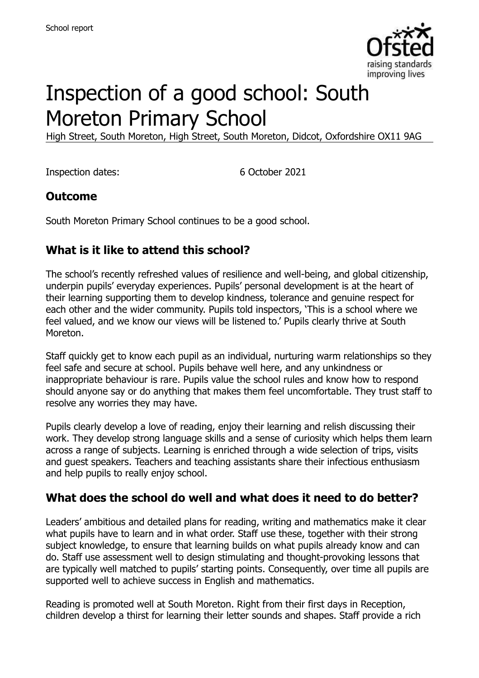

# Inspection of a good school: South Moreton Primary School

High Street, South Moreton, High Street, South Moreton, Didcot, Oxfordshire OX11 9AG

Inspection dates: 6 October 2021

#### **Outcome**

South Moreton Primary School continues to be a good school.

#### **What is it like to attend this school?**

The school's recently refreshed values of resilience and well-being, and global citizenship, underpin pupils' everyday experiences. Pupils' personal development is at the heart of their learning supporting them to develop kindness, tolerance and genuine respect for each other and the wider community. Pupils told inspectors, 'This is a school where we feel valued, and we know our views will be listened to.' Pupils clearly thrive at South Moreton.

Staff quickly get to know each pupil as an individual, nurturing warm relationships so they feel safe and secure at school. Pupils behave well here, and any unkindness or inappropriate behaviour is rare. Pupils value the school rules and know how to respond should anyone say or do anything that makes them feel uncomfortable. They trust staff to resolve any worries they may have.

Pupils clearly develop a love of reading, enjoy their learning and relish discussing their work. They develop strong language skills and a sense of curiosity which helps them learn across a range of subjects. Learning is enriched through a wide selection of trips, visits and guest speakers. Teachers and teaching assistants share their infectious enthusiasm and help pupils to really enjoy school.

#### **What does the school do well and what does it need to do better?**

Leaders' ambitious and detailed plans for reading, writing and mathematics make it clear what pupils have to learn and in what order. Staff use these, together with their strong subject knowledge, to ensure that learning builds on what pupils already know and can do. Staff use assessment well to design stimulating and thought-provoking lessons that are typically well matched to pupils' starting points. Consequently, over time all pupils are supported well to achieve success in English and mathematics.

Reading is promoted well at South Moreton. Right from their first days in Reception, children develop a thirst for learning their letter sounds and shapes. Staff provide a rich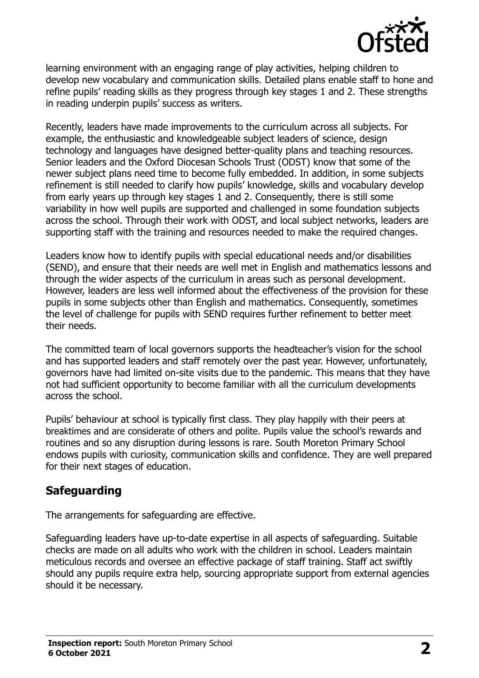

learning environment with an engaging range of play activities, helping children to develop new vocabulary and communication skills. Detailed plans enable staff to hone and refine pupils' reading skills as they progress through key stages 1 and 2. These strengths in reading underpin pupils' success as writers.

Recently, leaders have made improvements to the curriculum across all subjects. For example, the enthusiastic and knowledgeable subject leaders of science, design technology and languages have designed better-quality plans and teaching resources. Senior leaders and the Oxford Diocesan Schools Trust (ODST) know that some of the newer subject plans need time to become fully embedded. In addition, in some subjects refinement is still needed to clarify how pupils' knowledge, skills and vocabulary develop from early years up through key stages 1 and 2. Consequently, there is still some variability in how well pupils are supported and challenged in some foundation subjects across the school. Through their work with ODST, and local subject networks, leaders are supporting staff with the training and resources needed to make the required changes.

Leaders know how to identify pupils with special educational needs and/or disabilities (SEND), and ensure that their needs are well met in English and mathematics lessons and through the wider aspects of the curriculum in areas such as personal development. However, leaders are less well informed about the effectiveness of the provision for these pupils in some subjects other than English and mathematics. Consequently, sometimes the level of challenge for pupils with SEND requires further refinement to better meet their needs.

The committed team of local governors supports the headteacher's vision for the school and has supported leaders and staff remotely over the past year. However, unfortunately, governors have had limited on-site visits due to the pandemic. This means that they have not had sufficient opportunity to become familiar with all the curriculum developments across the school.

Pupils' behaviour at school is typically first class. They play happily with their peers at breaktimes and are considerate of others and polite. Pupils value the school's rewards and routines and so any disruption during lessons is rare. South Moreton Primary School endows pupils with curiosity, communication skills and confidence. They are well prepared for their next stages of education.

## **Safeguarding**

The arrangements for safeguarding are effective.

Safeguarding leaders have up-to-date expertise in all aspects of safeguarding. Suitable checks are made on all adults who work with the children in school. Leaders maintain meticulous records and oversee an effective package of staff training. Staff act swiftly should any pupils require extra help, sourcing appropriate support from external agencies should it be necessary.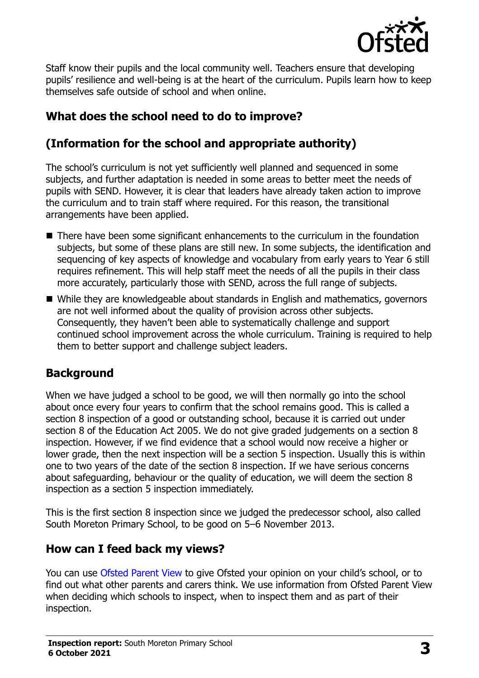

Staff know their pupils and the local community well. Teachers ensure that developing pupils' resilience and well-being is at the heart of the curriculum. Pupils learn how to keep themselves safe outside of school and when online.

# **What does the school need to do to improve?**

# **(Information for the school and appropriate authority)**

The school's curriculum is not yet sufficiently well planned and sequenced in some subjects, and further adaptation is needed in some areas to better meet the needs of pupils with SEND. However, it is clear that leaders have already taken action to improve the curriculum and to train staff where required. For this reason, the transitional arrangements have been applied.

- There have been some significant enhancements to the curriculum in the foundation subjects, but some of these plans are still new. In some subjects, the identification and sequencing of key aspects of knowledge and vocabulary from early years to Year 6 still requires refinement. This will help staff meet the needs of all the pupils in their class more accurately, particularly those with SEND, across the full range of subjects.
- While they are knowledgeable about standards in English and mathematics, governors are not well informed about the quality of provision across other subjects. Consequently, they haven't been able to systematically challenge and support continued school improvement across the whole curriculum. Training is required to help them to better support and challenge subject leaders.

## **Background**

When we have judged a school to be good, we will then normally go into the school about once every four years to confirm that the school remains good. This is called a section 8 inspection of a good or outstanding school, because it is carried out under section 8 of the Education Act 2005. We do not give graded judgements on a section 8 inspection. However, if we find evidence that a school would now receive a higher or lower grade, then the next inspection will be a section 5 inspection. Usually this is within one to two years of the date of the section 8 inspection. If we have serious concerns about safeguarding, behaviour or the quality of education, we will deem the section 8 inspection as a section 5 inspection immediately.

This is the first section 8 inspection since we judged the predecessor school, also called South Moreton Primary School, to be good on 5–6 November 2013.

## **How can I feed back my views?**

You can use [Ofsted Parent View](https://parentview.ofsted.gov.uk/) to give Ofsted your opinion on your child's school, or to find out what other parents and carers think. We use information from Ofsted Parent View when deciding which schools to inspect, when to inspect them and as part of their inspection.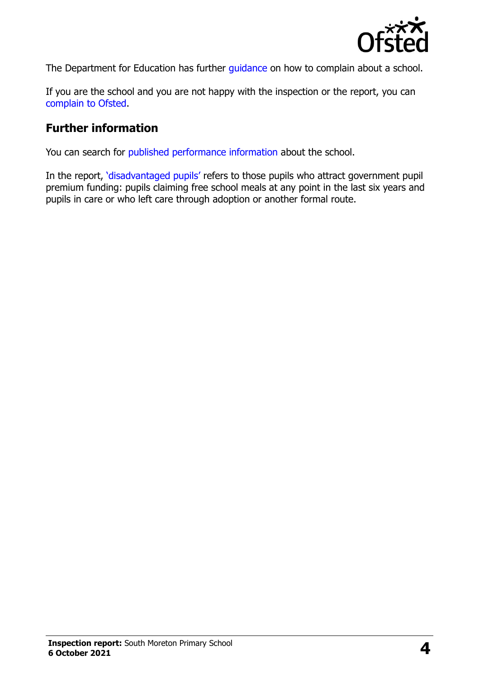

The Department for Education has further quidance on how to complain about a school.

If you are the school and you are not happy with the inspection or the report, you can [complain to Ofsted.](https://www.gov.uk/complain-ofsted-report)

#### **Further information**

You can search for [published performance information](http://www.compare-school-performance.service.gov.uk/) about the school.

In the report, '[disadvantaged pupils](http://www.gov.uk/guidance/pupil-premium-information-for-schools-and-alternative-provision-settings)' refers to those pupils who attract government pupil premium funding: pupils claiming free school meals at any point in the last six years and pupils in care or who left care through adoption or another formal route.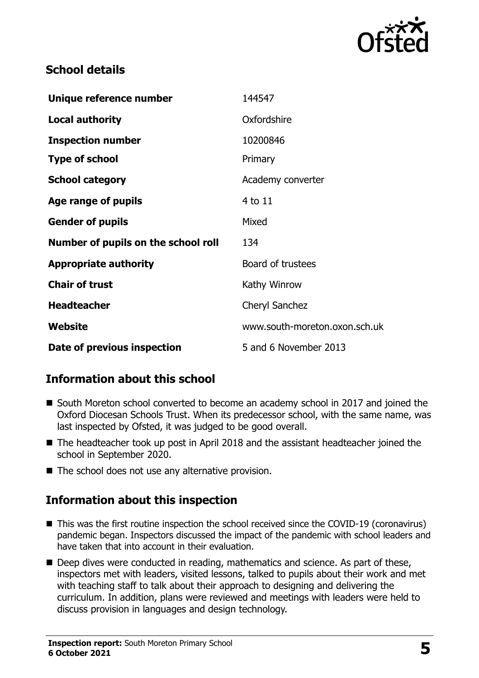

#### **School details**

| Unique reference number             | 144547                        |
|-------------------------------------|-------------------------------|
| Local authority                     | Oxfordshire                   |
| <b>Inspection number</b>            | 10200846                      |
| <b>Type of school</b>               | Primary                       |
| <b>School category</b>              | Academy converter             |
| Age range of pupils                 | $4$ to $11$                   |
| <b>Gender of pupils</b>             | Mixed                         |
| Number of pupils on the school roll | 134                           |
| <b>Appropriate authority</b>        | Board of trustees             |
| <b>Chair of trust</b>               | Kathy Winrow                  |
| <b>Headteacher</b>                  | Cheryl Sanchez                |
| Website                             | www.south-moreton.oxon.sch.uk |
| Date of previous inspection         | 5 and 6 November 2013         |

## **Information about this school**

- South Moreton school converted to become an academy school in 2017 and joined the Oxford Diocesan Schools Trust. When its predecessor school, with the same name, was last inspected by Ofsted, it was judged to be good overall.
- The headteacher took up post in April 2018 and the assistant headteacher joined the school in September 2020.
- The school does not use any alternative provision.

## **Information about this inspection**

- This was the first routine inspection the school received since the COVID-19 (coronavirus) pandemic began. Inspectors discussed the impact of the pandemic with school leaders and have taken that into account in their evaluation.
- Deep dives were conducted in reading, mathematics and science. As part of these, inspectors met with leaders, visited lessons, talked to pupils about their work and met with teaching staff to talk about their approach to designing and delivering the curriculum. In addition, plans were reviewed and meetings with leaders were held to discuss provision in languages and design technology.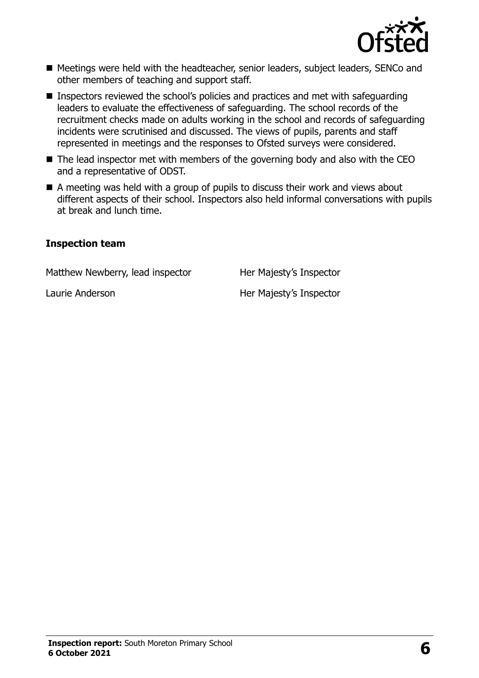

- Meetings were held with the headteacher, senior leaders, subject leaders, SENCo and other members of teaching and support staff.
- Inspectors reviewed the school's policies and practices and met with safeguarding leaders to evaluate the effectiveness of safeguarding. The school records of the recruitment checks made on adults working in the school and records of safeguarding incidents were scrutinised and discussed. The views of pupils, parents and staff represented in meetings and the responses to Ofsted surveys were considered.
- The lead inspector met with members of the governing body and also with the CEO and a representative of ODST.
- $\blacksquare$  A meeting was held with a group of pupils to discuss their work and views about different aspects of their school. Inspectors also held informal conversations with pupils at break and lunch time.

#### **Inspection team**

Matthew Newberry, lead inspector Her Majesty's Inspector

Laurie Anderson **Her Majesty's Inspector**